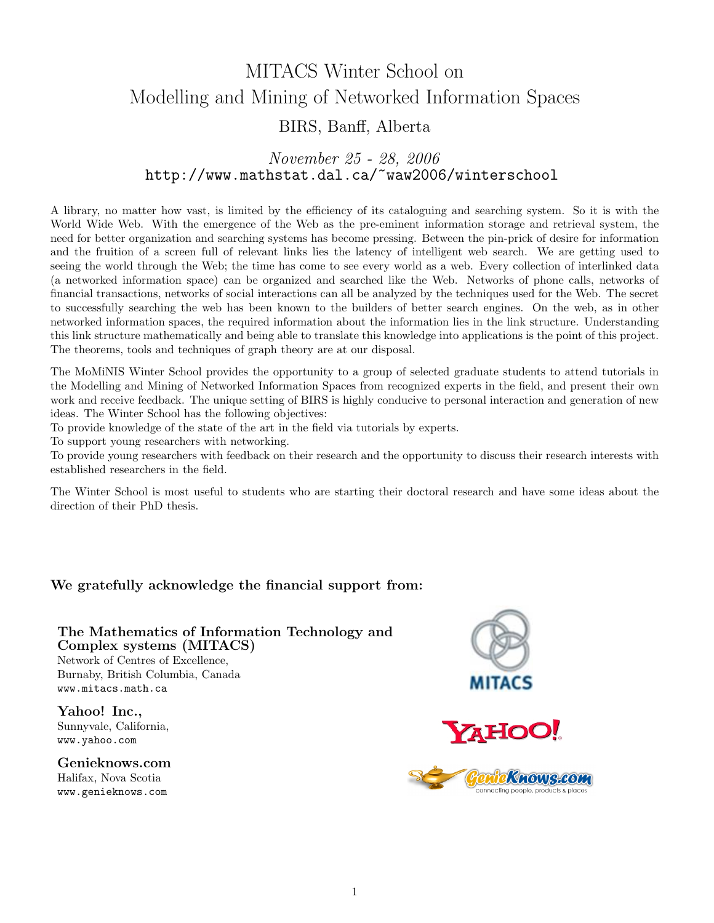# MITACS Winter School on Modelling and Mining of Networked Information Spaces

# BIRS, Banff, Alberta

### November 25 - 28, 2006 http://www.mathstat.dal.ca/~waw2006/winterschool

A library, no matter how vast, is limited by the efficiency of its cataloguing and searching system. So it is with the World Wide Web. With the emergence of the Web as the pre-eminent information storage and retrieval system, the need for better organization and searching systems has become pressing. Between the pin-prick of desire for information and the fruition of a screen full of relevant links lies the latency of intelligent web search. We are getting used to seeing the world through the Web; the time has come to see every world as a web. Every collection of interlinked data (a networked information space) can be organized and searched like the Web. Networks of phone calls, networks of financial transactions, networks of social interactions can all be analyzed by the techniques used for the Web. The secret to successfully searching the web has been known to the builders of better search engines. On the web, as in other networked information spaces, the required information about the information lies in the link structure. Understanding this link structure mathematically and being able to translate this knowledge into applications is the point of this project. The theorems, tools and techniques of graph theory are at our disposal.

The MoMiNIS Winter School provides the opportunity to a group of selected graduate students to attend tutorials in the Modelling and Mining of Networked Information Spaces from recognized experts in the field, and present their own work and receive feedback. The unique setting of BIRS is highly conducive to personal interaction and generation of new ideas. The Winter School has the following objectives:

To provide knowledge of the state of the art in the field via tutorials by experts.

To support young researchers with networking.

To provide young researchers with feedback on their research and the opportunity to discuss their research interests with established researchers in the field.

The Winter School is most useful to students who are starting their doctoral research and have some ideas about the direction of their PhD thesis.

### We gratefully acknowledge the financial support from:

The Mathematics of Information Technology and Complex systems (MITACS) Network of Centres of Excellence, Burnaby, British Columbia, Canada www.mitacs.math.ca

Yahoo! Inc., Sunnyvale, California, www.yahoo.com

Genieknows.com Halifax, Nova Scotia www.genieknows.com





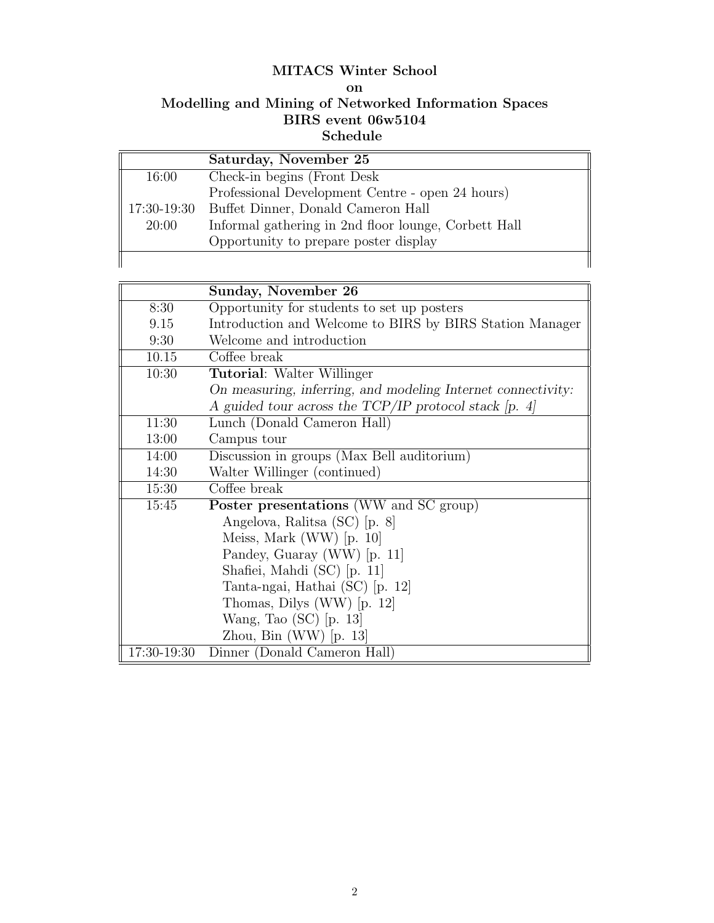# MITACS Winter School on Modelling and Mining of Networked Information Spaces BIRS event 06w5104 Schedule

|             | Saturday, November 25                                |
|-------------|------------------------------------------------------|
| 16:00       | Check-in begins (Front Desk)                         |
|             | Professional Development Centre - open 24 hours)     |
| 17:30-19:30 | Buffet Dinner, Donald Cameron Hall                   |
| 20:00       | Informal gathering in 2nd floor lounge, Corbett Hall |
|             | Opportunity to prepare poster display                |
|             |                                                      |

|             | Sunday, November 26                                          |
|-------------|--------------------------------------------------------------|
| 8:30        | Opportunity for students to set up posters                   |
| 9.15        | Introduction and Welcome to BIRS by BIRS Station Manager     |
| 9:30        | Welcome and introduction                                     |
| 10.15       | Coffee break                                                 |
| 10:30       | Tutorial: Walter Willinger                                   |
|             | On measuring, inferring, and modeling Internet connectivity: |
|             | A guided tour across the $TCP/IP$ protocol stack [p. 4]      |
| 11:30       | Lunch (Donald Cameron Hall)                                  |
| 13:00       | Campus tour                                                  |
| 14:00       | Discussion in groups (Max Bell auditorium)                   |
| 14:30       | Walter Willinger (continued)                                 |
| 15:30       | Coffee break                                                 |
| 15:45       | <b>Poster presentations</b> (WW and SC group)                |
|             | Angelova, Ralitsa (SC) [p. 8]                                |
|             | Meiss, Mark (WW) $[p. 10]$                                   |
|             | Pandey, Guaray (WW) [p. 11]                                  |
|             | Shafiei, Mahdi (SC) [p. 11]                                  |
|             | Tanta-ngai, Hathai (SC) [p. 12]                              |
|             | Thomas, Dilys (WW) $[p. 12]$                                 |
|             | Wang, Tao $(SC)$ [p. 13]                                     |
|             | Zhou, Bin (WW) $[p. 13]$                                     |
| 17:30-19:30 | Dinner (Donald Cameron Hall)                                 |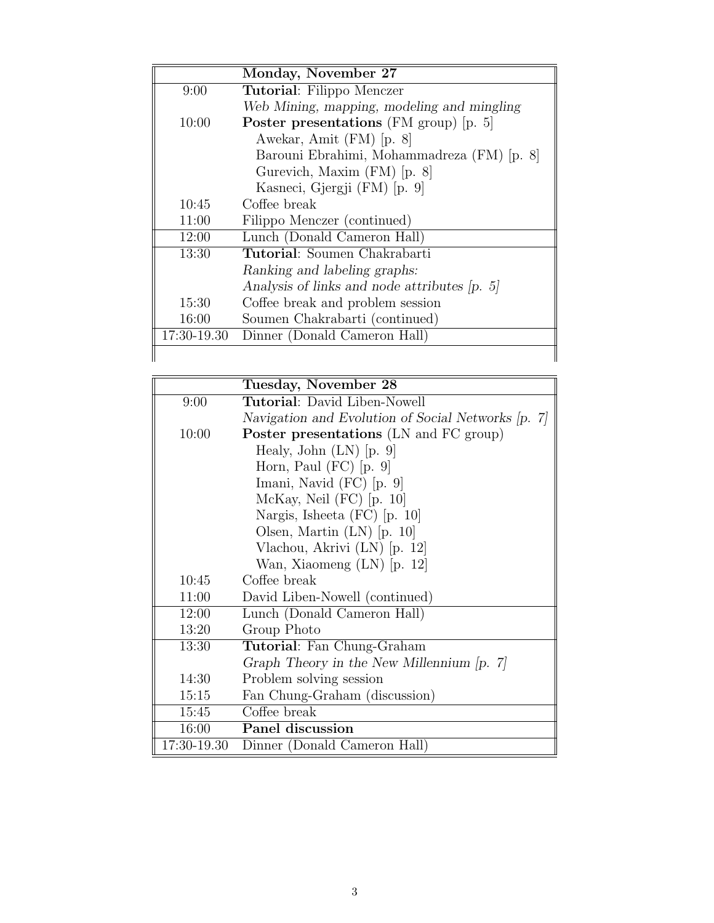|             | Monday, November 27                           |
|-------------|-----------------------------------------------|
| 9:00        | Tutorial: Filippo Menczer                     |
|             | Web Mining, mapping, modeling and mingling    |
| 10:00       | <b>Poster presentations</b> (FM group) [p. 5] |
|             | Awekar, Amit (FM) [p. 8]                      |
|             | Barouni Ebrahimi, Mohammadreza (FM) [p. 8]    |
|             | Gurevich, Maxim (FM) [p. 8]                   |
|             | Kasneci, Gjergji (FM) [p. 9]                  |
| 10:45       | Coffee break                                  |
| 11:00       | Filippo Menczer (continued)                   |
| 12:00       | Lunch (Donald Cameron Hall)                   |
| 13:30       | <b>Tutorial:</b> Soumen Chakrabarti           |
|             | Ranking and labeling graphs:                  |
|             | Analysis of links and node attributes [p. 5]  |
| 15:30       | Coffee break and problem session              |
| 16:00       | Soumen Chakrabarti (continued)                |
| 17:30-19.30 | Dinner (Donald Cameron Hall)                  |
|             |                                               |

|             | Tuesday, November 28                               |
|-------------|----------------------------------------------------|
| 9:00        | Tutorial: David Liben-Nowell                       |
|             | Navigation and Evolution of Social Networks [p. 7] |
| 10:00       | <b>Poster presentations</b> (LN and FC group)      |
|             | Healy, John $(LN)$ [p. 9]                          |
|             | Horn, Paul (FC) [p. 9]                             |
|             | Imani, Navid (FC) [p. 9]                           |
|             | McKay, Neil $(FC)$ [p. 10]                         |
|             | Nargis, Isheeta $(FC)$ [p. 10]                     |
|             | Olsen, Martin $(LN)$ [p. 10]                       |
|             | Vlachou, Akrivi (LN) [p. 12]                       |
|             | Wan, Xiaomeng $(LN)$ [p. 12]                       |
| 10:45       | Coffee break                                       |
| 11:00       | David Liben-Nowell (continued)                     |
| 12:00       | Lunch (Donald Cameron Hall)                        |
| 13:20       | Group Photo                                        |
| 13:30       | Tutorial: Fan Chung-Graham                         |
|             | Graph Theory in the New Millennium $[p, 7]$        |
| 14:30       | Problem solving session                            |
| 15:15       | Fan Chung-Graham (discussion)                      |
| 15:45       | Coffee break                                       |
| 16:00       | Panel discussion                                   |
| 17:30-19.30 | Dinner (Donald Cameron Hall)                       |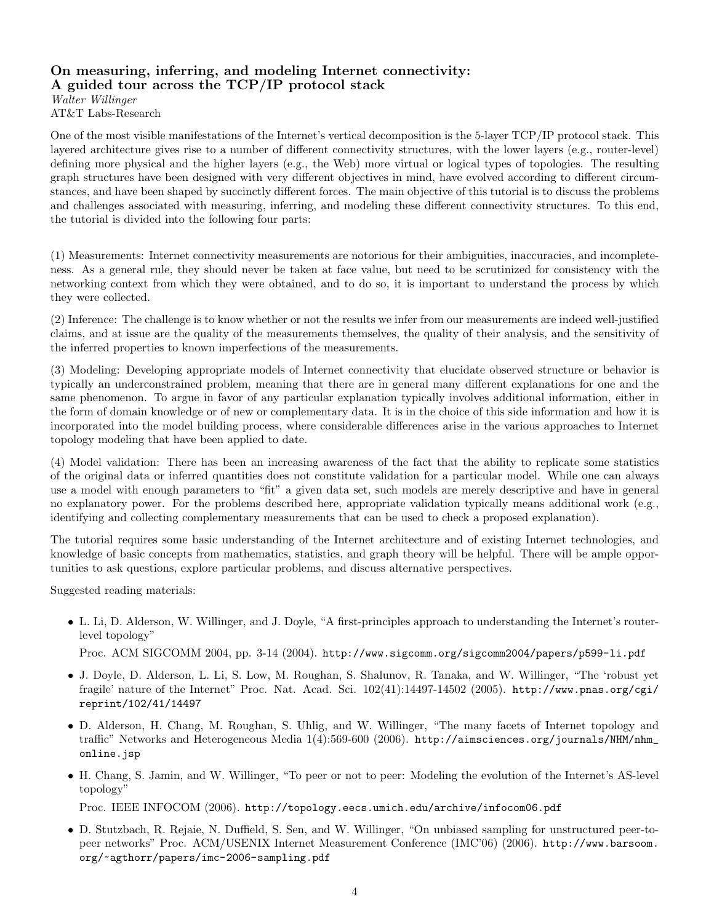#### On measuring, inferring, and modeling Internet connectivity: A guided tour across the TCP/IP protocol stack

Walter Willinger

AT&T Labs-Research

One of the most visible manifestations of the Internet's vertical decomposition is the 5-layer TCP/IP protocol stack. This layered architecture gives rise to a number of different connectivity structures, with the lower layers (e.g., router-level) defining more physical and the higher layers (e.g., the Web) more virtual or logical types of topologies. The resulting graph structures have been designed with very different objectives in mind, have evolved according to different circumstances, and have been shaped by succinctly different forces. The main objective of this tutorial is to discuss the problems and challenges associated with measuring, inferring, and modeling these different connectivity structures. To this end, the tutorial is divided into the following four parts:

(1) Measurements: Internet connectivity measurements are notorious for their ambiguities, inaccuracies, and incompleteness. As a general rule, they should never be taken at face value, but need to be scrutinized for consistency with the networking context from which they were obtained, and to do so, it is important to understand the process by which they were collected.

(2) Inference: The challenge is to know whether or not the results we infer from our measurements are indeed well-justified claims, and at issue are the quality of the measurements themselves, the quality of their analysis, and the sensitivity of the inferred properties to known imperfections of the measurements.

(3) Modeling: Developing appropriate models of Internet connectivity that elucidate observed structure or behavior is typically an underconstrained problem, meaning that there are in general many different explanations for one and the same phenomenon. To argue in favor of any particular explanation typically involves additional information, either in the form of domain knowledge or of new or complementary data. It is in the choice of this side information and how it is incorporated into the model building process, where considerable differences arise in the various approaches to Internet topology modeling that have been applied to date.

(4) Model validation: There has been an increasing awareness of the fact that the ability to replicate some statistics of the original data or inferred quantities does not constitute validation for a particular model. While one can always use a model with enough parameters to "fit" a given data set, such models are merely descriptive and have in general no explanatory power. For the problems described here, appropriate validation typically means additional work (e.g., identifying and collecting complementary measurements that can be used to check a proposed explanation).

The tutorial requires some basic understanding of the Internet architecture and of existing Internet technologies, and knowledge of basic concepts from mathematics, statistics, and graph theory will be helpful. There will be ample opportunities to ask questions, explore particular problems, and discuss alternative perspectives.

Suggested reading materials:

• L. Li, D. Alderson, W. Willinger, and J. Doyle, "A first-principles approach to understanding the Internet's routerlevel topology"

Proc. ACM SIGCOMM 2004, pp. 3-14 (2004). http://www.sigcomm.org/sigcomm2004/papers/p599-li.pdf

- J. Doyle, D. Alderson, L. Li, S. Low, M. Roughan, S. Shalunov, R. Tanaka, and W. Willinger, "The 'robust yet fragile' nature of the Internet" Proc. Nat. Acad. Sci. 102(41):14497-14502 (2005). http://www.pnas.org/cgi/ reprint/102/41/14497
- D. Alderson, H. Chang, M. Roughan, S. Uhlig, and W. Willinger, "The many facets of Internet topology and traffic" Networks and Heterogeneous Media 1(4):569-600 (2006). http://aimsciences.org/journals/NHM/nhm\_ online.jsp
- H. Chang, S. Jamin, and W. Willinger, "To peer or not to peer: Modeling the evolution of the Internet's AS-level topology"

Proc. IEEE INFOCOM (2006). http://topology.eecs.umich.edu/archive/infocom06.pdf

• D. Stutzbach, R. Rejaie, N. Duffield, S. Sen, and W. Willinger, "On unbiased sampling for unstructured peer-topeer networks" Proc. ACM/USENIX Internet Measurement Conference (IMC'06) (2006). http://www.barsoom. org/~agthorr/papers/imc-2006-sampling.pdf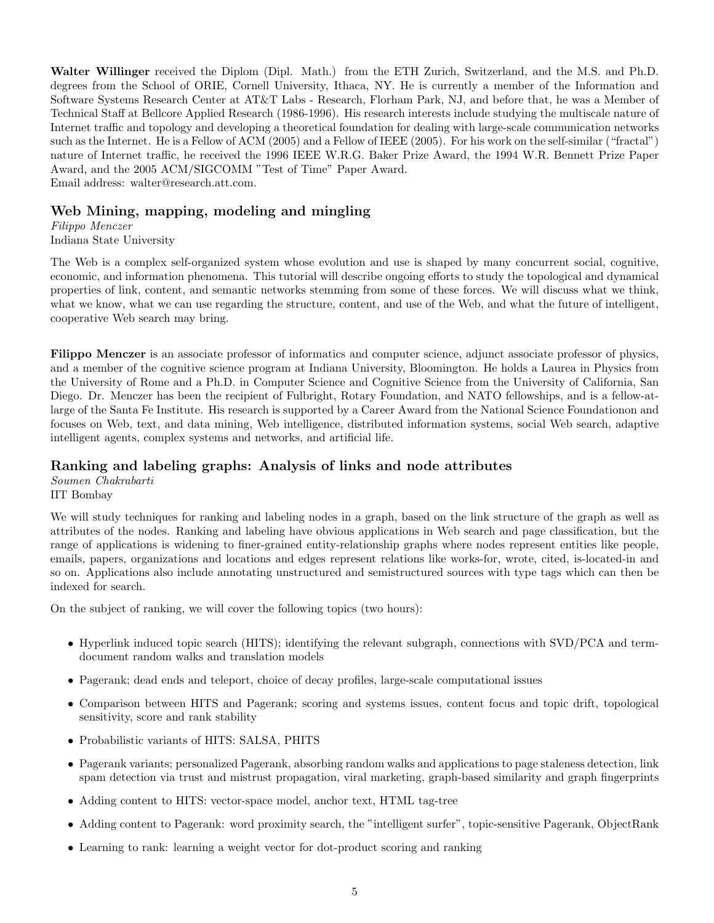Walter Willinger received the Diplom (Dipl. Math.) from the ETH Zurich, Switzerland, and the M.S. and Ph.D. degrees from the School of ORIE, Cornell University, Ithaca, NY. He is currently a member of the Information and Software Systems Research Center at AT&T Labs - Research, Florham Park, NJ, and before that, he was a Member of Technical Staff at Bellcore Applied Research (1986-1996). His research interests include studying the multiscale nature of Internet traffic and topology and developing a theoretical foundation for dealing with large-scale communication networks such as the Internet. He is a Fellow of ACM (2005) and a Fellow of IEEE (2005). For his work on the self-similar ("fractal") nature of Internet traffic, he received the 1996 IEEE W.R.G. Baker Prize Award, the 1994 W.R. Bennett Prize Paper Award, and the 2005 ACM/SIGCOMM "Test of Time" Paper Award. Email address: walter@research.att.com.

### Web Mining, mapping, modeling and mingling

Filippo Menczer Indiana State University

The Web is a complex self-organized system whose evolution and use is shaped by many concurrent social, cognitive, economic, and information phenomena. This tutorial will describe ongoing efforts to study the topological and dynamical properties of link, content, and semantic networks stemming from some of these forces. We will discuss what we think, what we know, what we can use regarding the structure, content, and use of the Web, and what the future of intelligent, cooperative Web search may bring.

Filippo Menczer is an associate professor of informatics and computer science, adjunct associate professor of physics, and a member of the cognitive science program at Indiana University, Bloomington. He holds a Laurea in Physics from the University of Rome and a Ph.D. in Computer Science and Cognitive Science from the University of California, San Diego. Dr. Menczer has been the recipient of Fulbright, Rotary Foundation, and NATO fellowships, and is a fellow-atlarge of the Santa Fe Institute. His research is supported by a Career Award from the National Science Foundationon and focuses on Web, text, and data mining, Web intelligence, distributed information systems, social Web search, adaptive intelligent agents, complex systems and networks, and artificial life.

### Ranking and labeling graphs: Analysis of links and node attributes

Soumen Chakrabarti IIT Bombay

We will study techniques for ranking and labeling nodes in a graph, based on the link structure of the graph as well as attributes of the nodes. Ranking and labeling have obvious applications in Web search and page classification, but the range of applications is widening to finer-grained entity-relationship graphs where nodes represent entities like people, emails, papers, organizations and locations and edges represent relations like works-for, wrote, cited, is-located-in and so on. Applications also include annotating unstructured and semistructured sources with type tags which can then be indexed for search.

On the subject of ranking, we will cover the following topics (two hours):

- Hyperlink induced topic search (HITS); identifying the relevant subgraph, connections with SVD/PCA and termdocument random walks and translation models
- Pagerank; dead ends and teleport, choice of decay profiles, large-scale computational issues
- Comparison between HITS and Pagerank; scoring and systems issues, content focus and topic drift, topological sensitivity, score and rank stability
- Probabilistic variants of HITS: SALSA, PHITS
- Pagerank variants; personalized Pagerank, absorbing random walks and applications to page staleness detection, link spam detection via trust and mistrust propagation, viral marketing, graph-based similarity and graph fingerprints
- Adding content to HITS: vector-space model, anchor text, HTML tag-tree
- Adding content to Pagerank: word proximity search, the "intelligent surfer", topic-sensitive Pagerank, ObjectRank
- Learning to rank: learning a weight vector for dot-product scoring and ranking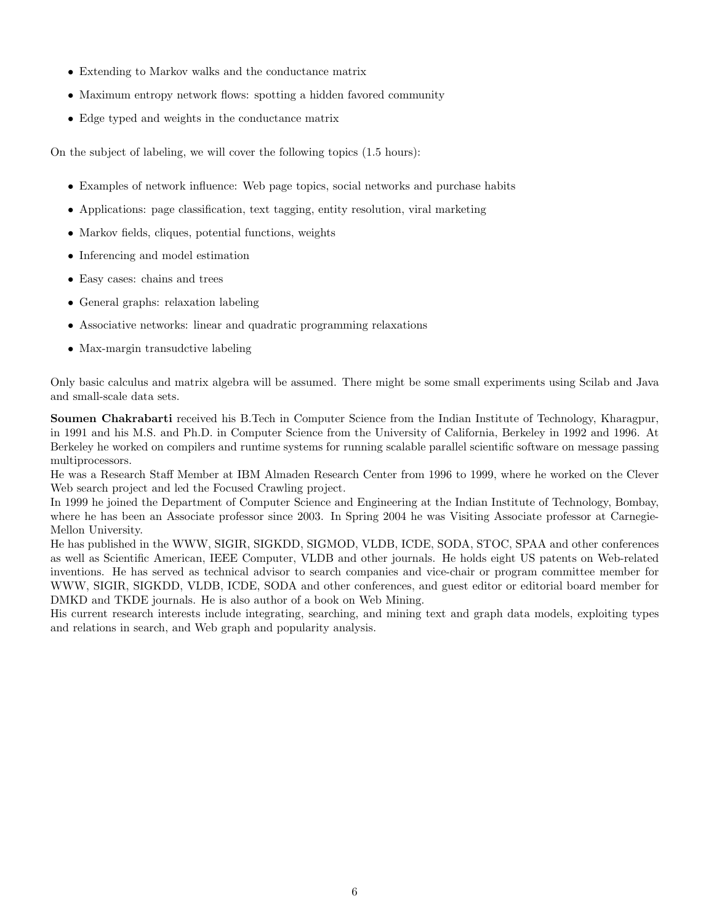- Extending to Markov walks and the conductance matrix
- Maximum entropy network flows: spotting a hidden favored community
- Edge typed and weights in the conductance matrix

On the subject of labeling, we will cover the following topics (1.5 hours):

- Examples of network influence: Web page topics, social networks and purchase habits
- Applications: page classification, text tagging, entity resolution, viral marketing
- Markov fields, cliques, potential functions, weights
- Inferencing and model estimation
- Easy cases: chains and trees
- General graphs: relaxation labeling
- Associative networks: linear and quadratic programming relaxations
- Max-margin transudctive labeling

Only basic calculus and matrix algebra will be assumed. There might be some small experiments using Scilab and Java and small-scale data sets.

Soumen Chakrabarti received his B.Tech in Computer Science from the Indian Institute of Technology, Kharagpur, in 1991 and his M.S. and Ph.D. in Computer Science from the University of California, Berkeley in 1992 and 1996. At Berkeley he worked on compilers and runtime systems for running scalable parallel scientific software on message passing multiprocessors.

He was a Research Staff Member at IBM Almaden Research Center from 1996 to 1999, where he worked on the Clever Web search project and led the Focused Crawling project.

In 1999 he joined the Department of Computer Science and Engineering at the Indian Institute of Technology, Bombay, where he has been an Associate professor since 2003. In Spring 2004 he was Visiting Associate professor at Carnegie-Mellon University.

He has published in the WWW, SIGIR, SIGKDD, SIGMOD, VLDB, ICDE, SODA, STOC, SPAA and other conferences as well as Scientific American, IEEE Computer, VLDB and other journals. He holds eight US patents on Web-related inventions. He has served as technical advisor to search companies and vice-chair or program committee member for WWW, SIGIR, SIGKDD, VLDB, ICDE, SODA and other conferences, and guest editor or editorial board member for DMKD and TKDE journals. He is also author of a book on Web Mining.

His current research interests include integrating, searching, and mining text and graph data models, exploiting types and relations in search, and Web graph and popularity analysis.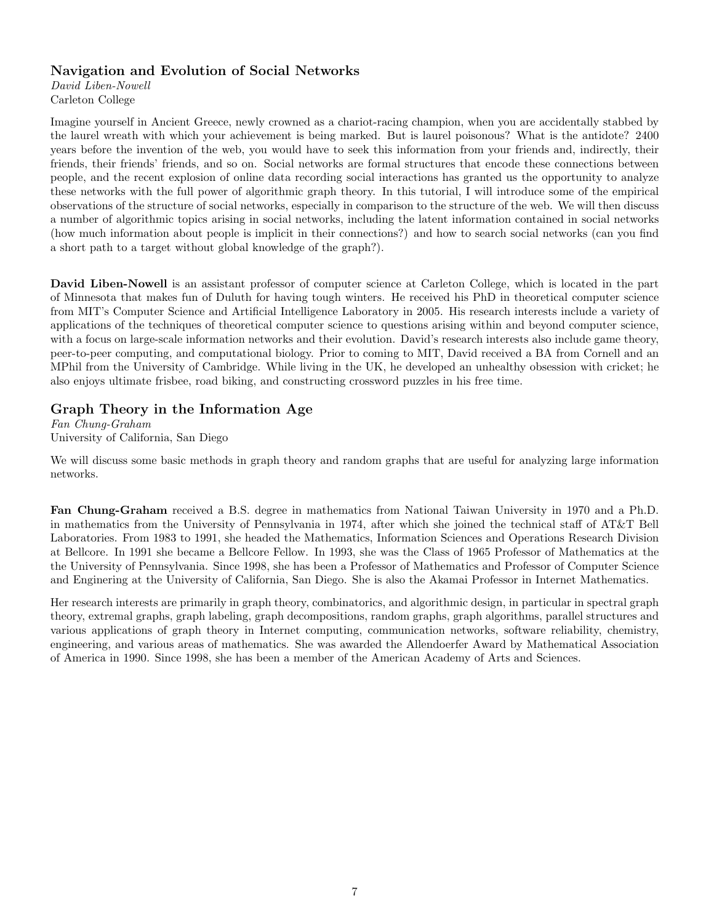### Navigation and Evolution of Social Networks

David Liben-Nowell Carleton College

Imagine yourself in Ancient Greece, newly crowned as a chariot-racing champion, when you are accidentally stabbed by the laurel wreath with which your achievement is being marked. But is laurel poisonous? What is the antidote? 2400 years before the invention of the web, you would have to seek this information from your friends and, indirectly, their friends, their friends' friends, and so on. Social networks are formal structures that encode these connections between people, and the recent explosion of online data recording social interactions has granted us the opportunity to analyze these networks with the full power of algorithmic graph theory. In this tutorial, I will introduce some of the empirical observations of the structure of social networks, especially in comparison to the structure of the web. We will then discuss a number of algorithmic topics arising in social networks, including the latent information contained in social networks (how much information about people is implicit in their connections?) and how to search social networks (can you find a short path to a target without global knowledge of the graph?).

David Liben-Nowell is an assistant professor of computer science at Carleton College, which is located in the part of Minnesota that makes fun of Duluth for having tough winters. He received his PhD in theoretical computer science from MIT's Computer Science and Artificial Intelligence Laboratory in 2005. His research interests include a variety of applications of the techniques of theoretical computer science to questions arising within and beyond computer science, with a focus on large-scale information networks and their evolution. David's research interests also include game theory, peer-to-peer computing, and computational biology. Prior to coming to MIT, David received a BA from Cornell and an MPhil from the University of Cambridge. While living in the UK, he developed an unhealthy obsession with cricket; he also enjoys ultimate frisbee, road biking, and constructing crossword puzzles in his free time.

### Graph Theory in the Information Age

Fan Chung-Graham University of California, San Diego

We will discuss some basic methods in graph theory and random graphs that are useful for analyzing large information networks.

Fan Chung-Graham received a B.S. degree in mathematics from National Taiwan University in 1970 and a Ph.D. in mathematics from the University of Pennsylvania in 1974, after which she joined the technical staff of AT&T Bell Laboratories. From 1983 to 1991, she headed the Mathematics, Information Sciences and Operations Research Division at Bellcore. In 1991 she became a Bellcore Fellow. In 1993, she was the Class of 1965 Professor of Mathematics at the the University of Pennsylvania. Since 1998, she has been a Professor of Mathematics and Professor of Computer Science and Enginering at the University of California, San Diego. She is also the Akamai Professor in Internet Mathematics.

Her research interests are primarily in graph theory, combinatorics, and algorithmic design, in particular in spectral graph theory, extremal graphs, graph labeling, graph decompositions, random graphs, graph algorithms, parallel structures and various applications of graph theory in Internet computing, communication networks, software reliability, chemistry, engineering, and various areas of mathematics. She was awarded the Allendoerfer Award by Mathematical Association of America in 1990. Since 1998, she has been a member of the American Academy of Arts and Sciences.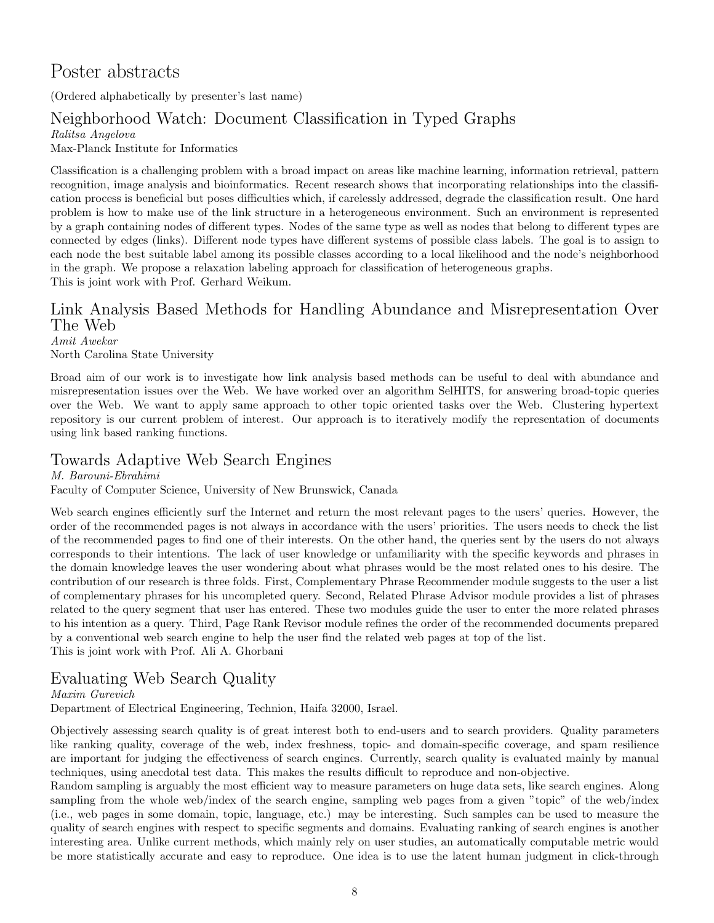# Poster abstracts

(Ordered alphabetically by presenter's last name)

### Neighborhood Watch: Document Classification in Typed Graphs Ralitsa Angelova

Max-Planck Institute for Informatics

Classification is a challenging problem with a broad impact on areas like machine learning, information retrieval, pattern recognition, image analysis and bioinformatics. Recent research shows that incorporating relationships into the classification process is beneficial but poses difficulties which, if carelessly addressed, degrade the classification result. One hard problem is how to make use of the link structure in a heterogeneous environment. Such an environment is represented by a graph containing nodes of different types. Nodes of the same type as well as nodes that belong to different types are connected by edges (links). Different node types have different systems of possible class labels. The goal is to assign to each node the best suitable label among its possible classes according to a local likelihood and the node's neighborhood in the graph. We propose a relaxation labeling approach for classification of heterogeneous graphs. This is joint work with Prof. Gerhard Weikum.

### Link Analysis Based Methods for Handling Abundance and Misrepresentation Over The Web

Amit Awekar North Carolina State University

Broad aim of our work is to investigate how link analysis based methods can be useful to deal with abundance and misrepresentation issues over the Web. We have worked over an algorithm SelHITS, for answering broad-topic queries over the Web. We want to apply same approach to other topic oriented tasks over the Web. Clustering hypertext repository is our current problem of interest. Our approach is to iteratively modify the representation of documents using link based ranking functions.

### Towards Adaptive Web Search Engines

M. Barouni-Ebrahimi

Faculty of Computer Science, University of New Brunswick, Canada

Web search engines efficiently surf the Internet and return the most relevant pages to the users' queries. However, the order of the recommended pages is not always in accordance with the users' priorities. The users needs to check the list of the recommended pages to find one of their interests. On the other hand, the queries sent by the users do not always corresponds to their intentions. The lack of user knowledge or unfamiliarity with the specific keywords and phrases in the domain knowledge leaves the user wondering about what phrases would be the most related ones to his desire. The contribution of our research is three folds. First, Complementary Phrase Recommender module suggests to the user a list of complementary phrases for his uncompleted query. Second, Related Phrase Advisor module provides a list of phrases related to the query segment that user has entered. These two modules guide the user to enter the more related phrases to his intention as a query. Third, Page Rank Revisor module refines the order of the recommended documents prepared by a conventional web search engine to help the user find the related web pages at top of the list. This is joint work with Prof. Ali A. Ghorbani

# Evaluating Web Search Quality

Maxim Gurevich

Department of Electrical Engineering, Technion, Haifa 32000, Israel.

Objectively assessing search quality is of great interest both to end-users and to search providers. Quality parameters like ranking quality, coverage of the web, index freshness, topic- and domain-specific coverage, and spam resilience are important for judging the effectiveness of search engines. Currently, search quality is evaluated mainly by manual techniques, using anecdotal test data. This makes the results difficult to reproduce and non-objective.

Random sampling is arguably the most efficient way to measure parameters on huge data sets, like search engines. Along sampling from the whole web/index of the search engine, sampling web pages from a given "topic" of the web/index (i.e., web pages in some domain, topic, language, etc.) may be interesting. Such samples can be used to measure the quality of search engines with respect to specific segments and domains. Evaluating ranking of search engines is another interesting area. Unlike current methods, which mainly rely on user studies, an automatically computable metric would be more statistically accurate and easy to reproduce. One idea is to use the latent human judgment in click-through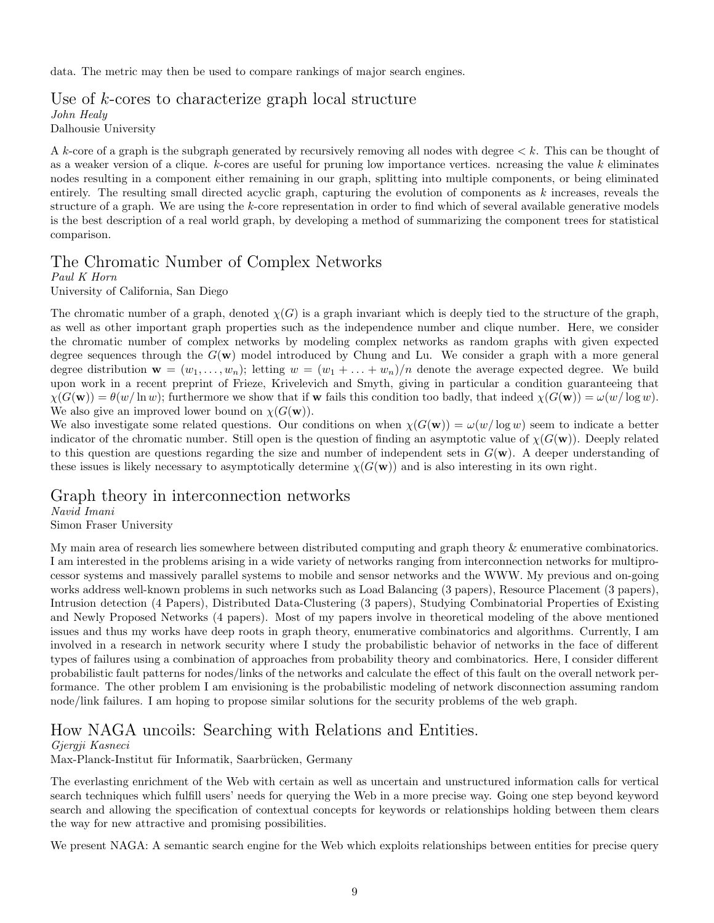data. The metric may then be used to compare rankings of major search engines.

#### Use of k-cores to characterize graph local structure John Healy

Dalhousie University

A k-core of a graph is the subgraph generated by recursively removing all nodes with degree  $\lt k$ . This can be thought of as a weaker version of a clique.  $k$ -cores are useful for pruning low importance vertices. ncreasing the value  $k$  eliminates nodes resulting in a component either remaining in our graph, splitting into multiple components, or being eliminated entirely. The resulting small directed acyclic graph, capturing the evolution of components as  $k$  increases, reveals the structure of a graph. We are using the  $k$ -core representation in order to find which of several available generative models is the best description of a real world graph, by developing a method of summarizing the component trees for statistical comparison.

# The Chromatic Number of Complex Networks

Paul K Horn University of California, San Diego

The chromatic number of a graph, denoted  $\chi(G)$  is a graph invariant which is deeply tied to the structure of the graph, as well as other important graph properties such as the independence number and clique number. Here, we consider the chromatic number of complex networks by modeling complex networks as random graphs with given expected degree sequences through the  $G(\mathbf{w})$  model introduced by Chung and Lu. We consider a graph with a more general degree distribution  $\mathbf{w} = (w_1, \ldots, w_n)$ ; letting  $w = (w_1 + \ldots + w_n)/n$  denote the average expected degree. We build upon work in a recent preprint of Frieze, Krivelevich and Smyth, giving in particular a condition guaranteeing that  $\chi(G(\mathbf{w})) = \theta(w/\ln w)$ ; furthermore we show that if w fails this condition too badly, that indeed  $\chi(G(\mathbf{w})) = \omega(w/\log w)$ . We also give an improved lower bound on  $\chi(G(\mathbf{w}))$ .

We also investigate some related questions. Our conditions on when  $\chi(G(\mathbf{w})) = \omega(w/\log w)$  seem to indicate a better indicator of the chromatic number. Still open is the question of finding an asymptotic value of  $\chi(G(\mathbf{w}))$ . Deeply related to this question are questions regarding the size and number of independent sets in  $G(\mathbf{w})$ . A deeper understanding of these issues is likely necessary to asymptotically determine  $\chi(G(\mathbf{w}))$  and is also interesting in its own right.

Graph theory in interconnection networks

Navid Imani

Simon Fraser University

My main area of research lies somewhere between distributed computing and graph theory & enumerative combinatorics. I am interested in the problems arising in a wide variety of networks ranging from interconnection networks for multiprocessor systems and massively parallel systems to mobile and sensor networks and the WWW. My previous and on-going works address well-known problems in such networks such as Load Balancing (3 papers), Resource Placement (3 papers), Intrusion detection (4 Papers), Distributed Data-Clustering (3 papers), Studying Combinatorial Properties of Existing and Newly Proposed Networks (4 papers). Most of my papers involve in theoretical modeling of the above mentioned issues and thus my works have deep roots in graph theory, enumerative combinatorics and algorithms. Currently, I am involved in a research in network security where I study the probabilistic behavior of networks in the face of different types of failures using a combination of approaches from probability theory and combinatorics. Here, I consider different probabilistic fault patterns for nodes/links of the networks and calculate the effect of this fault on the overall network performance. The other problem I am envisioning is the probabilistic modeling of network disconnection assuming random node/link failures. I am hoping to propose similar solutions for the security problems of the web graph.

# How NAGA uncoils: Searching with Relations and Entities.

#### Gjergji Kasneci

Max-Planck-Institut für Informatik, Saarbrücken, Germany

The everlasting enrichment of the Web with certain as well as uncertain and unstructured information calls for vertical search techniques which fulfill users' needs for querying the Web in a more precise way. Going one step beyond keyword search and allowing the specification of contextual concepts for keywords or relationships holding between them clears the way for new attractive and promising possibilities.

We present NAGA: A semantic search engine for the Web which exploits relationships between entities for precise query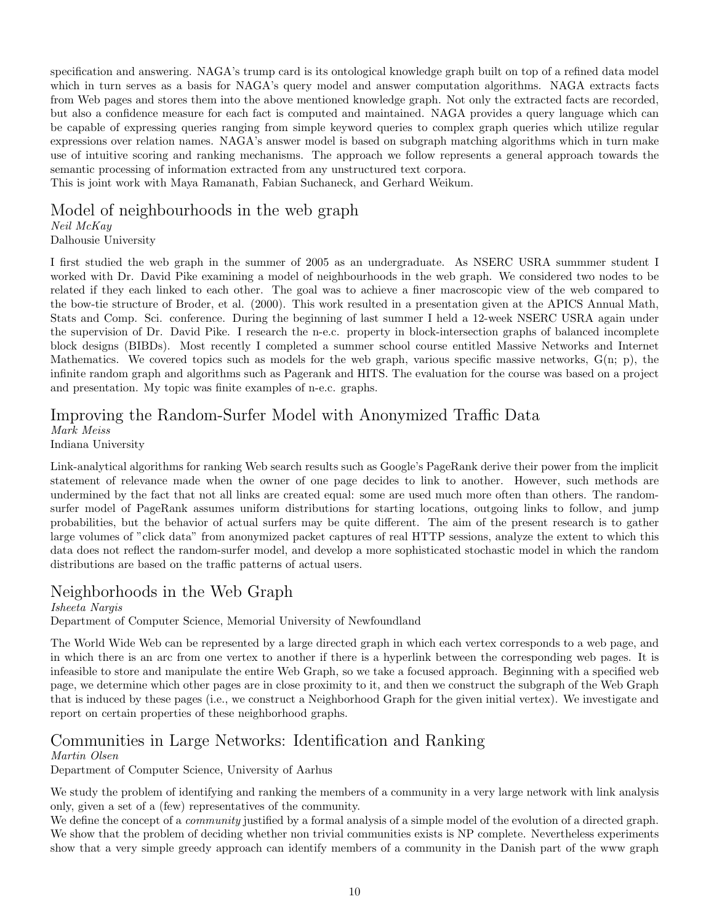specification and answering. NAGA's trump card is its ontological knowledge graph built on top of a refined data model which in turn serves as a basis for NAGA's query model and answer computation algorithms. NAGA extracts facts from Web pages and stores them into the above mentioned knowledge graph. Not only the extracted facts are recorded, but also a confidence measure for each fact is computed and maintained. NAGA provides a query language which can be capable of expressing queries ranging from simple keyword queries to complex graph queries which utilize regular expressions over relation names. NAGA's answer model is based on subgraph matching algorithms which in turn make use of intuitive scoring and ranking mechanisms. The approach we follow represents a general approach towards the semantic processing of information extracted from any unstructured text corpora. This is joint work with Maya Ramanath, Fabian Suchaneck, and Gerhard Weikum.

Model of neighbourhoods in the web graph

### Neil McKay

Dalhousie University

I first studied the web graph in the summer of 2005 as an undergraduate. As NSERC USRA summmer student I worked with Dr. David Pike examining a model of neighbourhoods in the web graph. We considered two nodes to be related if they each linked to each other. The goal was to achieve a finer macroscopic view of the web compared to the bow-tie structure of Broder, et al. (2000). This work resulted in a presentation given at the APICS Annual Math, Stats and Comp. Sci. conference. During the beginning of last summer I held a 12-week NSERC USRA again under the supervision of Dr. David Pike. I research the n-e.c. property in block-intersection graphs of balanced incomplete block designs (BIBDs). Most recently I completed a summer school course entitled Massive Networks and Internet Mathematics. We covered topics such as models for the web graph, various specific massive networks,  $G(n; p)$ , the infinite random graph and algorithms such as Pagerank and HITS. The evaluation for the course was based on a project and presentation. My topic was finite examples of n-e.c. graphs.

# Improving the Random-Surfer Model with Anonymized Traffic Data

Mark Meiss Indiana University

Link-analytical algorithms for ranking Web search results such as Google's PageRank derive their power from the implicit statement of relevance made when the owner of one page decides to link to another. However, such methods are undermined by the fact that not all links are created equal: some are used much more often than others. The randomsurfer model of PageRank assumes uniform distributions for starting locations, outgoing links to follow, and jump probabilities, but the behavior of actual surfers may be quite different. The aim of the present research is to gather large volumes of "click data" from anonymized packet captures of real HTTP sessions, analyze the extent to which this data does not reflect the random-surfer model, and develop a more sophisticated stochastic model in which the random distributions are based on the traffic patterns of actual users.

# Neighborhoods in the Web Graph

Isheeta Nargis

Department of Computer Science, Memorial University of Newfoundland

The World Wide Web can be represented by a large directed graph in which each vertex corresponds to a web page, and in which there is an arc from one vertex to another if there is a hyperlink between the corresponding web pages. It is infeasible to store and manipulate the entire Web Graph, so we take a focused approach. Beginning with a specified web page, we determine which other pages are in close proximity to it, and then we construct the subgraph of the Web Graph that is induced by these pages (i.e., we construct a Neighborhood Graph for the given initial vertex). We investigate and report on certain properties of these neighborhood graphs.

# Communities in Large Networks: Identification and Ranking

#### Martin Olsen

Department of Computer Science, University of Aarhus

We study the problem of identifying and ranking the members of a community in a very large network with link analysis only, given a set of a (few) representatives of the community.

We define the concept of a *community* justified by a formal analysis of a simple model of the evolution of a directed graph. We show that the problem of deciding whether non trivial communities exists is NP complete. Nevertheless experiments show that a very simple greedy approach can identify members of a community in the Danish part of the www graph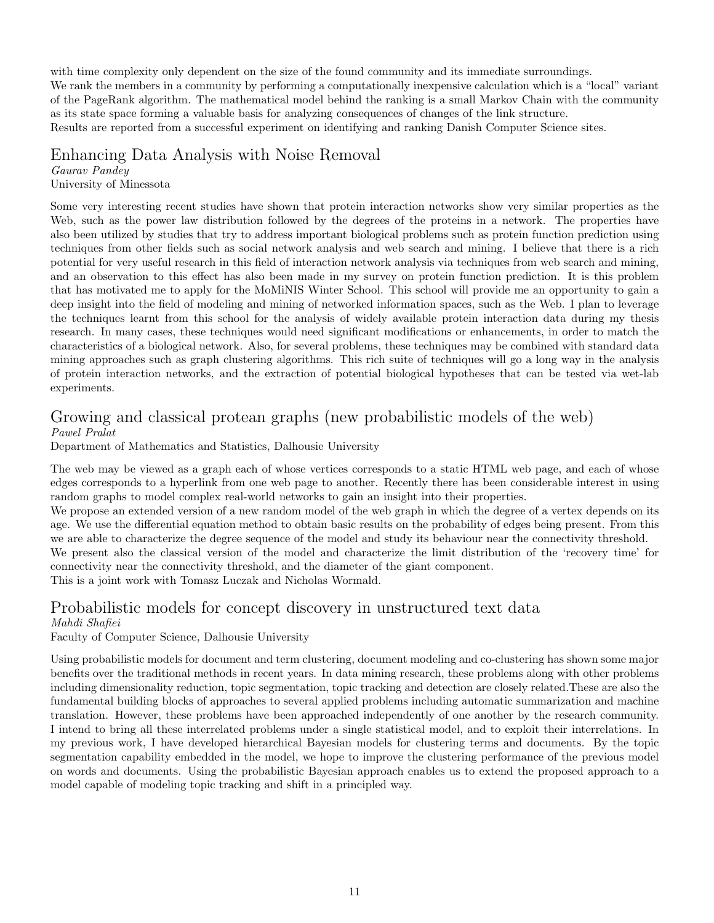with time complexity only dependent on the size of the found community and its immediate surroundings. We rank the members in a community by performing a computationally inexpensive calculation which is a "local" variant of the PageRank algorithm. The mathematical model behind the ranking is a small Markov Chain with the community as its state space forming a valuable basis for analyzing consequences of changes of the link structure. Results are reported from a successful experiment on identifying and ranking Danish Computer Science sites.

# Enhancing Data Analysis with Noise Removal

Gaurav Pandey University of Minessota

Some very interesting recent studies have shown that protein interaction networks show very similar properties as the Web, such as the power law distribution followed by the degrees of the proteins in a network. The properties have also been utilized by studies that try to address important biological problems such as protein function prediction using techniques from other fields such as social network analysis and web search and mining. I believe that there is a rich potential for very useful research in this field of interaction network analysis via techniques from web search and mining, and an observation to this effect has also been made in my survey on protein function prediction. It is this problem that has motivated me to apply for the MoMiNIS Winter School. This school will provide me an opportunity to gain a deep insight into the field of modeling and mining of networked information spaces, such as the Web. I plan to leverage the techniques learnt from this school for the analysis of widely available protein interaction data during my thesis research. In many cases, these techniques would need significant modifications or enhancements, in order to match the characteristics of a biological network. Also, for several problems, these techniques may be combined with standard data mining approaches such as graph clustering algorithms. This rich suite of techniques will go a long way in the analysis of protein interaction networks, and the extraction of potential biological hypotheses that can be tested via wet-lab experiments.

# Growing and classical protean graphs (new probabilistic models of the web)

Pawel Pralat

Department of Mathematics and Statistics, Dalhousie University

The web may be viewed as a graph each of whose vertices corresponds to a static HTML web page, and each of whose edges corresponds to a hyperlink from one web page to another. Recently there has been considerable interest in using random graphs to model complex real-world networks to gain an insight into their properties.

We propose an extended version of a new random model of the web graph in which the degree of a vertex depends on its age. We use the differential equation method to obtain basic results on the probability of edges being present. From this we are able to characterize the degree sequence of the model and study its behaviour near the connectivity threshold. We present also the classical version of the model and characterize the limit distribution of the 'recovery time' for connectivity near the connectivity threshold, and the diameter of the giant component.

This is a joint work with Tomasz Luczak and Nicholas Wormald.

### Probabilistic models for concept discovery in unstructured text data Mahdi Shafiei

Faculty of Computer Science, Dalhousie University

Using probabilistic models for document and term clustering, document modeling and co-clustering has shown some major benefits over the traditional methods in recent years. In data mining research, these problems along with other problems including dimensionality reduction, topic segmentation, topic tracking and detection are closely related.These are also the fundamental building blocks of approaches to several applied problems including automatic summarization and machine translation. However, these problems have been approached independently of one another by the research community. I intend to bring all these interrelated problems under a single statistical model, and to exploit their interrelations. In my previous work, I have developed hierarchical Bayesian models for clustering terms and documents. By the topic segmentation capability embedded in the model, we hope to improve the clustering performance of the previous model on words and documents. Using the probabilistic Bayesian approach enables us to extend the proposed approach to a model capable of modeling topic tracking and shift in a principled way.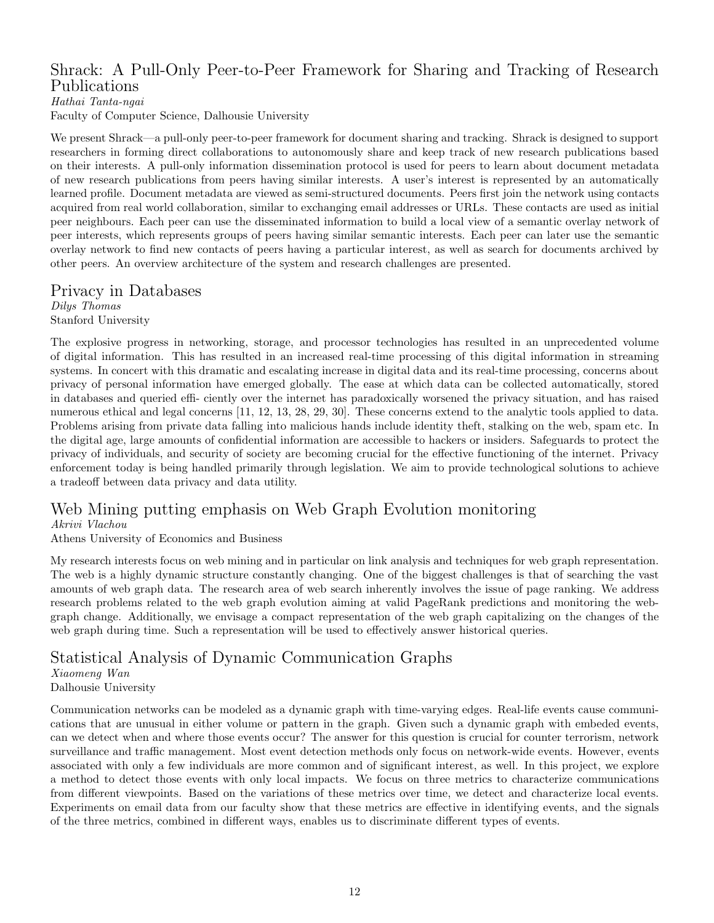# Shrack: A Pull-Only Peer-to-Peer Framework for Sharing and Tracking of Research Publications

Hathai Tanta-ngai

Faculty of Computer Science, Dalhousie University

We present Shrack—a pull-only peer-to-peer framework for document sharing and tracking. Shrack is designed to support researchers in forming direct collaborations to autonomously share and keep track of new research publications based on their interests. A pull-only information dissemination protocol is used for peers to learn about document metadata of new research publications from peers having similar interests. A user's interest is represented by an automatically learned profile. Document metadata are viewed as semi-structured documents. Peers first join the network using contacts acquired from real world collaboration, similar to exchanging email addresses or URLs. These contacts are used as initial peer neighbours. Each peer can use the disseminated information to build a local view of a semantic overlay network of peer interests, which represents groups of peers having similar semantic interests. Each peer can later use the semantic overlay network to find new contacts of peers having a particular interest, as well as search for documents archived by other peers. An overview architecture of the system and research challenges are presented.

Privacy in Databases Dilys Thomas Stanford University

The explosive progress in networking, storage, and processor technologies has resulted in an unprecedented volume of digital information. This has resulted in an increased real-time processing of this digital information in streaming systems. In concert with this dramatic and escalating increase in digital data and its real-time processing, concerns about privacy of personal information have emerged globally. The ease at which data can be collected automatically, stored in databases and queried effi- ciently over the internet has paradoxically worsened the privacy situation, and has raised numerous ethical and legal concerns [11, 12, 13, 28, 29, 30]. These concerns extend to the analytic tools applied to data. Problems arising from private data falling into malicious hands include identity theft, stalking on the web, spam etc. In the digital age, large amounts of confidential information are accessible to hackers or insiders. Safeguards to protect the privacy of individuals, and security of society are becoming crucial for the effective functioning of the internet. Privacy enforcement today is being handled primarily through legislation. We aim to provide technological solutions to achieve a tradeoff between data privacy and data utility.

# Web Mining putting emphasis on Web Graph Evolution monitoring

Akrivi Vlachou

Athens University of Economics and Business

My research interests focus on web mining and in particular on link analysis and techniques for web graph representation. The web is a highly dynamic structure constantly changing. One of the biggest challenges is that of searching the vast amounts of web graph data. The research area of web search inherently involves the issue of page ranking. We address research problems related to the web graph evolution aiming at valid PageRank predictions and monitoring the webgraph change. Additionally, we envisage a compact representation of the web graph capitalizing on the changes of the web graph during time. Such a representation will be used to effectively answer historical queries.

# Statistical Analysis of Dynamic Communication Graphs

# Xiaomeng Wan

Dalhousie University

Communication networks can be modeled as a dynamic graph with time-varying edges. Real-life events cause communications that are unusual in either volume or pattern in the graph. Given such a dynamic graph with embeded events, can we detect when and where those events occur? The answer for this question is crucial for counter terrorism, network surveillance and traffic management. Most event detection methods only focus on network-wide events. However, events associated with only a few individuals are more common and of significant interest, as well. In this project, we explore a method to detect those events with only local impacts. We focus on three metrics to characterize communications from different viewpoints. Based on the variations of these metrics over time, we detect and characterize local events. Experiments on email data from our faculty show that these metrics are effective in identifying events, and the signals of the three metrics, combined in different ways, enables us to discriminate different types of events.